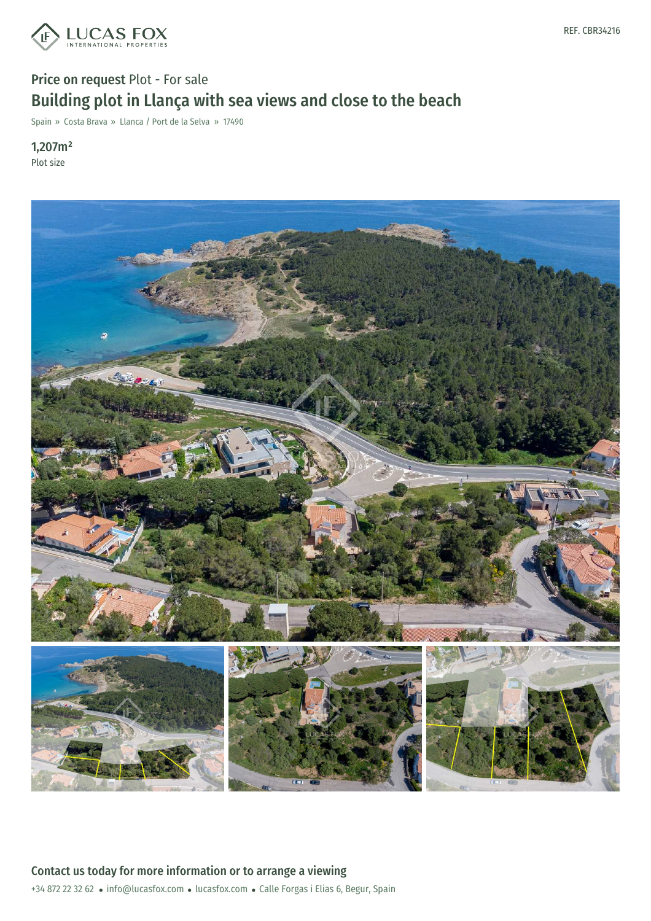

# Price on request Plot - For sale Building plot in Llança with sea views and close to the beach

Spain » Costa Brava » Llanca / Port de la Selva » 17490

1,207m² Plot size